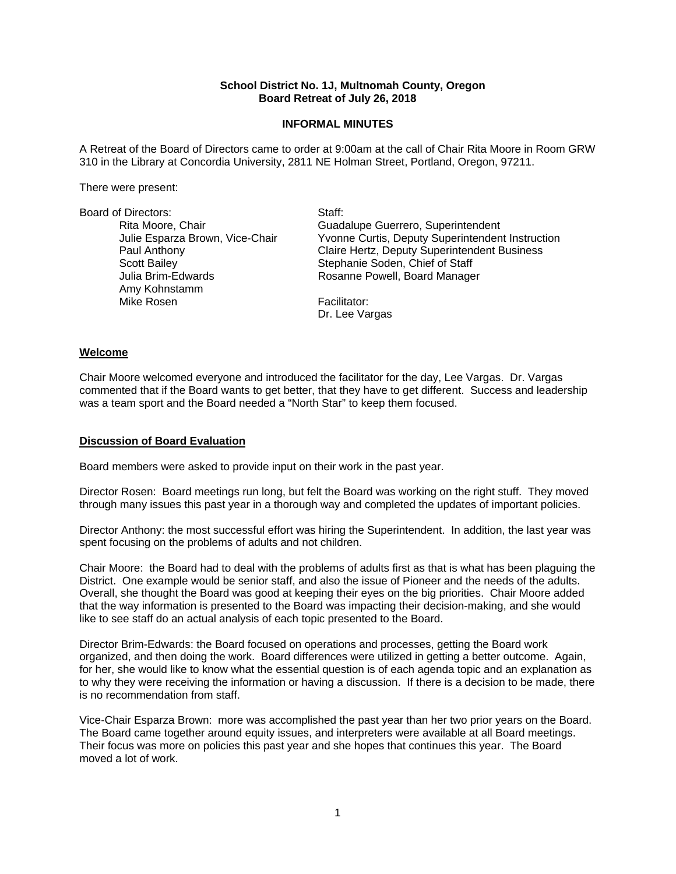### **School District No. 1J, Multnomah County, Oregon Board Retreat of July 26, 2018**

### **INFORMAL MINUTES**

A Retreat of the Board of Directors came to order at 9:00am at the call of Chair Rita Moore in Room GRW 310 in the Library at Concordia University, 2811 NE Holman Street, Portland, Oregon, 97211.

There were present:

| <b>Board of Directors:</b>          | Staff:                                           |
|-------------------------------------|--------------------------------------------------|
| Rita Moore, Chair                   | Guadalupe Guerrero, Superintendent               |
| Julie Esparza Brown, Vice-Chair     | Yvonne Curtis, Deputy Superintendent Instruction |
| Paul Anthony                        | Claire Hertz, Deputy Superintendent Business     |
| <b>Scott Bailey</b>                 | Stephanie Soden, Chief of Staff                  |
| Julia Brim-Edwards<br>Amy Kohnstamm | Rosanne Powell, Board Manager                    |
| Mike Rosen                          | Facilitator:                                     |
|                                     | Dr. Lee Vargas                                   |

#### **Welcome**

Chair Moore welcomed everyone and introduced the facilitator for the day, Lee Vargas. Dr. Vargas commented that if the Board wants to get better, that they have to get different. Success and leadership was a team sport and the Board needed a "North Star" to keep them focused.

#### **Discussion of Board Evaluation**

Board members were asked to provide input on their work in the past year.

Director Rosen: Board meetings run long, but felt the Board was working on the right stuff. They moved through many issues this past year in a thorough way and completed the updates of important policies.

Director Anthony: the most successful effort was hiring the Superintendent. In addition, the last year was spent focusing on the problems of adults and not children.

Chair Moore: the Board had to deal with the problems of adults first as that is what has been plaguing the District. One example would be senior staff, and also the issue of Pioneer and the needs of the adults. Overall, she thought the Board was good at keeping their eyes on the big priorities. Chair Moore added that the way information is presented to the Board was impacting their decision-making, and she would like to see staff do an actual analysis of each topic presented to the Board.

Director Brim-Edwards: the Board focused on operations and processes, getting the Board work organized, and then doing the work. Board differences were utilized in getting a better outcome. Again, for her, she would like to know what the essential question is of each agenda topic and an explanation as to why they were receiving the information or having a discussion. If there is a decision to be made, there is no recommendation from staff.

Vice-Chair Esparza Brown: more was accomplished the past year than her two prior years on the Board. The Board came together around equity issues, and interpreters were available at all Board meetings. Their focus was more on policies this past year and she hopes that continues this year. The Board moved a lot of work.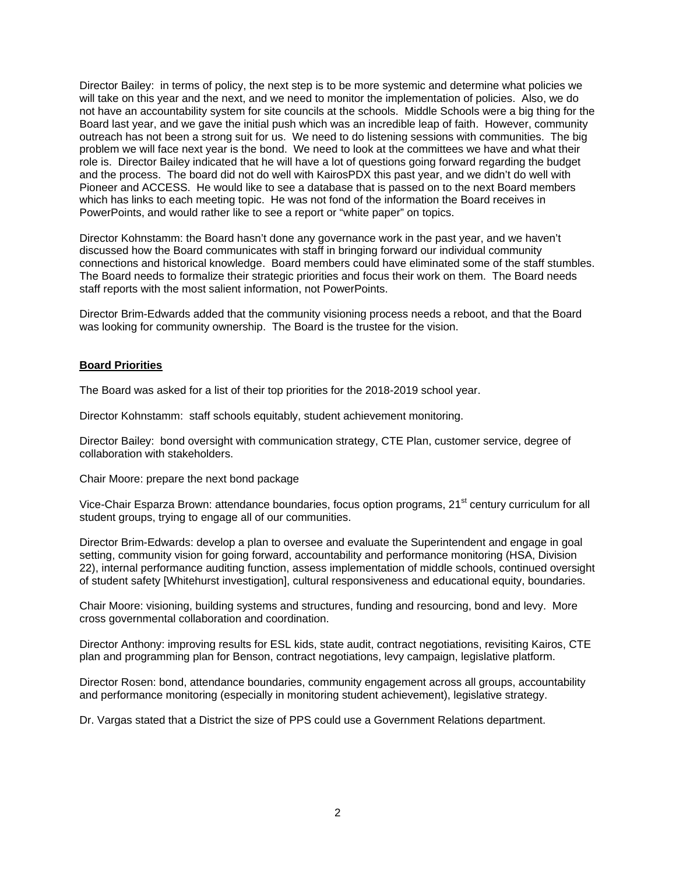Director Bailey: in terms of policy, the next step is to be more systemic and determine what policies we will take on this year and the next, and we need to monitor the implementation of policies. Also, we do not have an accountability system for site councils at the schools. Middle Schools were a big thing for the Board last year, and we gave the initial push which was an incredible leap of faith. However, community outreach has not been a strong suit for us. We need to do listening sessions with communities. The big problem we will face next year is the bond. We need to look at the committees we have and what their role is. Director Bailey indicated that he will have a lot of questions going forward regarding the budget and the process. The board did not do well with KairosPDX this past year, and we didn't do well with Pioneer and ACCESS. He would like to see a database that is passed on to the next Board members which has links to each meeting topic. He was not fond of the information the Board receives in PowerPoints, and would rather like to see a report or "white paper" on topics.

Director Kohnstamm: the Board hasn't done any governance work in the past year, and we haven't discussed how the Board communicates with staff in bringing forward our individual community connections and historical knowledge. Board members could have eliminated some of the staff stumbles. The Board needs to formalize their strategic priorities and focus their work on them. The Board needs staff reports with the most salient information, not PowerPoints.

Director Brim-Edwards added that the community visioning process needs a reboot, and that the Board was looking for community ownership. The Board is the trustee for the vision.

## **Board Priorities**

The Board was asked for a list of their top priorities for the 2018-2019 school year.

Director Kohnstamm: staff schools equitably, student achievement monitoring.

Director Bailey: bond oversight with communication strategy, CTE Plan, customer service, degree of collaboration with stakeholders.

Chair Moore: prepare the next bond package

Vice-Chair Esparza Brown: attendance boundaries, focus option programs, 21<sup>st</sup> century curriculum for all student groups, trying to engage all of our communities.

Director Brim-Edwards: develop a plan to oversee and evaluate the Superintendent and engage in goal setting, community vision for going forward, accountability and performance monitoring (HSA, Division 22), internal performance auditing function, assess implementation of middle schools, continued oversight of student safety [Whitehurst investigation], cultural responsiveness and educational equity, boundaries.

Chair Moore: visioning, building systems and structures, funding and resourcing, bond and levy. More cross governmental collaboration and coordination.

Director Anthony: improving results for ESL kids, state audit, contract negotiations, revisiting Kairos, CTE plan and programming plan for Benson, contract negotiations, levy campaign, legislative platform.

Director Rosen: bond, attendance boundaries, community engagement across all groups, accountability and performance monitoring (especially in monitoring student achievement), legislative strategy.

Dr. Vargas stated that a District the size of PPS could use a Government Relations department.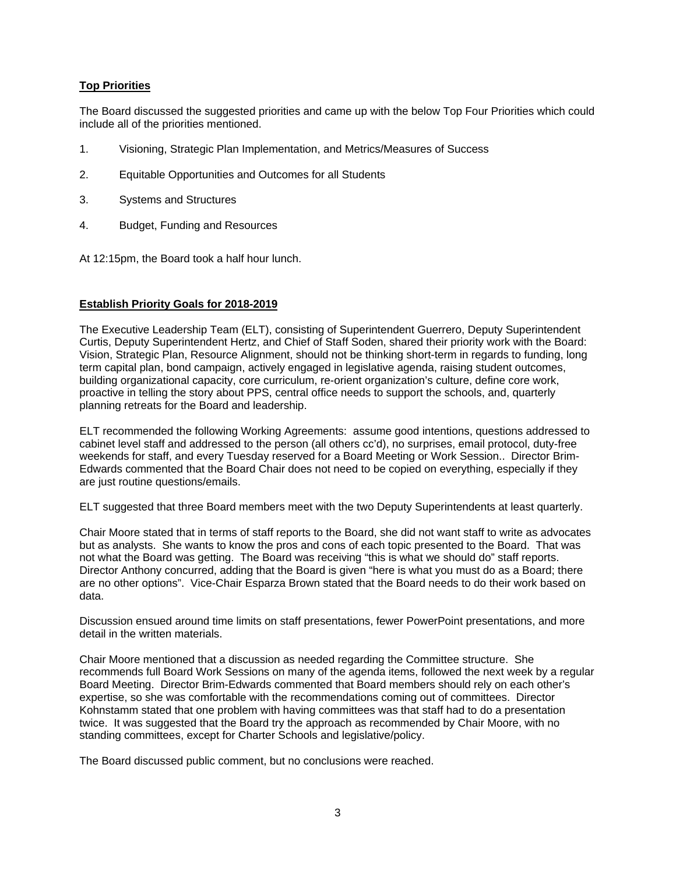# **Top Priorities**

The Board discussed the suggested priorities and came up with the below Top Four Priorities which could include all of the priorities mentioned.

- 1. Visioning, Strategic Plan Implementation, and Metrics/Measures of Success
- 2. Equitable Opportunities and Outcomes for all Students
- 3. Systems and Structures
- 4. Budget, Funding and Resources
- At 12:15pm, the Board took a half hour lunch.

## **Establish Priority Goals for 2018-2019**

The Executive Leadership Team (ELT), consisting of Superintendent Guerrero, Deputy Superintendent Curtis, Deputy Superintendent Hertz, and Chief of Staff Soden, shared their priority work with the Board: Vision, Strategic Plan, Resource Alignment, should not be thinking short-term in regards to funding, long term capital plan, bond campaign, actively engaged in legislative agenda, raising student outcomes, building organizational capacity, core curriculum, re-orient organization's culture, define core work, proactive in telling the story about PPS, central office needs to support the schools, and, quarterly planning retreats for the Board and leadership.

ELT recommended the following Working Agreements: assume good intentions, questions addressed to cabinet level staff and addressed to the person (all others cc'd), no surprises, email protocol, duty-free weekends for staff, and every Tuesday reserved for a Board Meeting or Work Session.. Director Brim-Edwards commented that the Board Chair does not need to be copied on everything, especially if they are just routine questions/emails.

ELT suggested that three Board members meet with the two Deputy Superintendents at least quarterly.

Chair Moore stated that in terms of staff reports to the Board, she did not want staff to write as advocates but as analysts. She wants to know the pros and cons of each topic presented to the Board. That was not what the Board was getting. The Board was receiving "this is what we should do" staff reports. Director Anthony concurred, adding that the Board is given "here is what you must do as a Board; there are no other options". Vice-Chair Esparza Brown stated that the Board needs to do their work based on data.

Discussion ensued around time limits on staff presentations, fewer PowerPoint presentations, and more detail in the written materials.

Chair Moore mentioned that a discussion as needed regarding the Committee structure. She recommends full Board Work Sessions on many of the agenda items, followed the next week by a regular Board Meeting. Director Brim-Edwards commented that Board members should rely on each other's expertise, so she was comfortable with the recommendations coming out of committees. Director Kohnstamm stated that one problem with having committees was that staff had to do a presentation twice. It was suggested that the Board try the approach as recommended by Chair Moore, with no standing committees, except for Charter Schools and legislative/policy.

The Board discussed public comment, but no conclusions were reached.